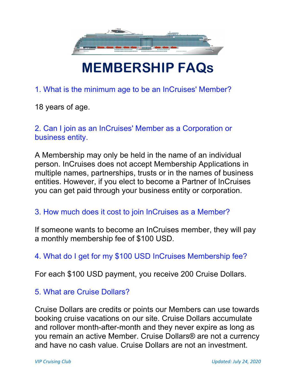

# MEMBERSHIP FAQs

1. What is the minimum age to be an InCruises' Member?

18 years of age.

2. Can I join as an InCruises' Member as a Corporation or business entity.

A Membership may only be held in the name of an individual person. InCruises does not accept Membership Applications in multiple names, partnerships, trusts or in the names of business entities. However, if you elect to become a Partner of InCruises you can get paid through your business entity or corporation.

#### 3. How much does it cost to join InCruises as a Member?

If someone wants to become an InCruises member, they will pay a monthly membership fee of \$100 USD.

# 4. What do I get for my \$100 USD InCruises Membership fee?

For each \$100 USD payment, you receive 200 Cruise Dollars.

# 5. What are Cruise Dollars?

Cruise Dollars are credits or points our Members can use towards booking cruise vacations on our site. Cruise Dollars accumulate and rollover month-after-month and they never expire as long as you remain an active Member. Cruise Dollars® are not a currency and have no cash value. Cruise Dollars are not an investment.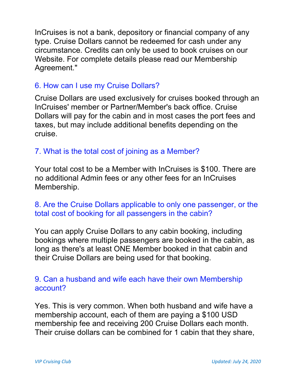InCruises is not a bank, depository or financial company of any type. Cruise Dollars cannot be redeemed for cash under any circumstance. Credits can only be used to book cruises on our Website. For complete details please read our Membership Agreement."

### 6. How can I use my Cruise Dollars?

Cruise Dollars are used exclusively for cruises booked through an InCruises' member or Partner/Member's back office. Cruise Dollars will pay for the cabin and in most cases the port fees and taxes, but may include additional benefits depending on the cruise.

# 7. What is the total cost of joining as a Member?

Your total cost to be a Member with InCruises is \$100. There are no additional Admin fees or any other fees for an InCruises Membership.

### 8. Are the Cruise Dollars applicable to only one passenger, or the total cost of booking for all passengers in the cabin?

You can apply Cruise Dollars to any cabin booking, including bookings where multiple passengers are booked in the cabin, as long as there's at least ONE Member booked in that cabin and their Cruise Dollars are being used for that booking.

### 9. Can a husband and wife each have their own Membership account?

Yes. This is very common. When both husband and wife have a membership account, each of them are paying a \$100 USD membership fee and receiving 200 Cruise Dollars each month. Their cruise dollars can be combined for 1 cabin that they share,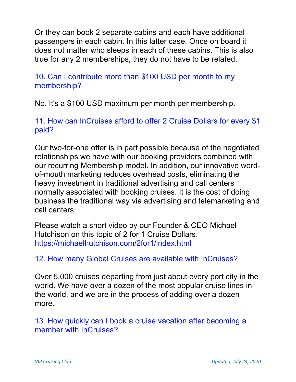Or they can book 2 separate cabins and each have additional passengers in each cabin. In this latter case, Once on board it does not matter who sleeps in each of these cabins. This is also true for any 2 memberships, they do not have to be related.

10. Can I contribute more than \$100 USD per month to my membership?

No. It's a \$100 USD maximum per month per membership.

11. How can InCruises afford to offer 2 Cruise Dollars for every \$1 paid?

Our two-for-one offer is in part possible because of the negotiated relationships we have with our booking providers combined with our recurring Membership model. In addition, our innovative wordof-mouth marketing reduces overhead costs, eliminating the heavy investment in traditional advertising and call centers normally associated with booking cruises. It is the cost of doing business the traditional way via advertising and telemarketing and call centers.

Please watch a short video by our Founder & CEO Michael Hutchison on this topic of 2 for 1 Cruise Dollars. https://michaelhutchison.com/2for1/index.html

12. How many Global Cruises are available with InCruises?

Over 5,000 cruises departing from just about every port city in the world. We have over a dozen of the most popular cruise lines in the world, and we are in the process of adding over a dozen more.

13. How quickly can I book a cruise vacation after becoming a member with InCruises?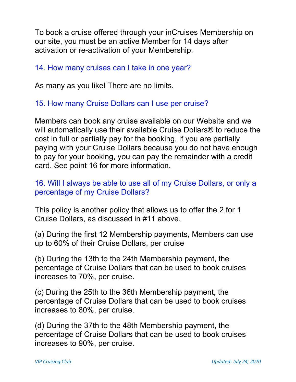To book a cruise offered through your inCruises Membership on our site, you must be an active Member for 14 days after activation or re-activation of your Membership.

### 14. How many cruises can I take in one year?

As many as you like! There are no limits.

# 15. How many Cruise Dollars can I use per cruise?

Members can book any cruise available on our Website and we will automatically use their available Cruise Dollars® to reduce the cost in full or partially pay for the booking. If you are partially paying with your Cruise Dollars because you do not have enough to pay for your booking, you can pay the remainder with a credit card. See point 16 for more information.

### 16. Will I always be able to use all of my Cruise Dollars, or only a percentage of my Cruise Dollars?

This policy is another policy that allows us to offer the 2 for 1 Cruise Dollars, as discussed in #11 above.

(a) During the first 12 Membership payments, Members can use up to 60% of their Cruise Dollars, per cruise

(b) During the 13th to the 24th Membership payment, the percentage of Cruise Dollars that can be used to book cruises increases to 70%, per cruise.

(c) During the 25th to the 36th Membership payment, the percentage of Cruise Dollars that can be used to book cruises increases to 80%, per cruise.

(d) During the 37th to the 48th Membership payment, the percentage of Cruise Dollars that can be used to book cruises increases to 90%, per cruise.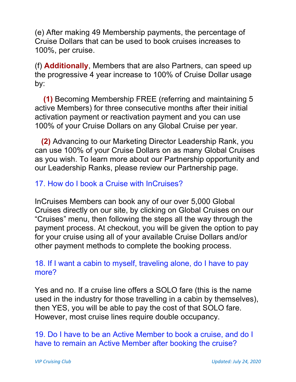(e) After making 49 Membership payments, the percentage of Cruise Dollars that can be used to book cruises increases to 100%, per cruise.

(f) Additionally, Members that are also Partners, can speed up the progressive 4 year increase to 100% of Cruise Dollar usage by:

(1) Becoming Membership FREE (referring and maintaining 5 active Members) for three consecutive months after their initial activation payment or reactivation payment and you can use 100% of your Cruise Dollars on any Global Cruise per year.

(2) Advancing to our Marketing Director Leadership Rank, you can use 100% of your Cruise Dollars on as many Global Cruises as you wish. To learn more about our Partnership opportunity and our Leadership Ranks, please review our Partnership page.

# 17. How do I book a Cruise with InCruises?

InCruises Members can book any of our over 5,000 Global Cruises directly on our site, by clicking on Global Cruises on our "Cruises" menu, then following the steps all the way through the payment process. At checkout, you will be given the option to pay for your cruise using all of your available Cruise Dollars and/or other payment methods to complete the booking process.

# 18. If I want a cabin to myself, traveling alone, do I have to pay more?

Yes and no. If a cruise line offers a SOLO fare (this is the name used in the industry for those travelling in a cabin by themselves), then YES, you will be able to pay the cost of that SOLO fare. However, most cruise lines require double occupancy.

19. Do I have to be an Active Member to book a cruise, and do I have to remain an Active Member after booking the cruise?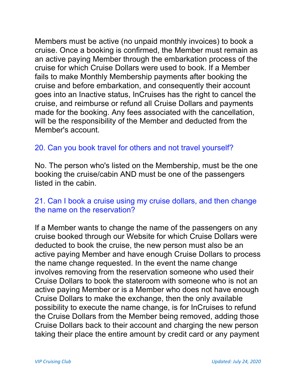Members must be active (no unpaid monthly invoices) to book a cruise. Once a booking is confirmed, the Member must remain as an active paying Member through the embarkation process of the cruise for which Cruise Dollars were used to book. If a Member fails to make Monthly Membership payments after booking the cruise and before embarkation, and consequently their account goes into an Inactive status, InCruises has the right to cancel the cruise, and reimburse or refund all Cruise Dollars and payments made for the booking. Any fees associated with the cancellation, will be the responsibility of the Member and deducted from the Member's account.

# 20. Can you book travel for others and not travel yourself?

No. The person who's listed on the Membership, must be the one booking the cruise/cabin AND must be one of the passengers listed in the cabin.

#### 21. Can I book a cruise using my cruise dollars, and then change the name on the reservation?

If a Member wants to change the name of the passengers on any cruise booked through our Website for which Cruise Dollars were deducted to book the cruise, the new person must also be an active paying Member and have enough Cruise Dollars to process the name change requested. In the event the name change involves removing from the reservation someone who used their Cruise Dollars to book the stateroom with someone who is not an active paying Member or is a Member who does not have enough Cruise Dollars to make the exchange, then the only available possibility to execute the name change, is for InCruises to refund the Cruise Dollars from the Member being removed, adding those Cruise Dollars back to their account and charging the new person taking their place the entire amount by credit card or any payment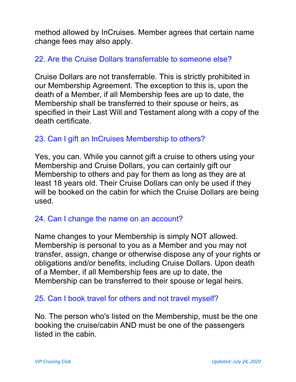method allowed by InCruises. Member agrees that certain name change fees may also apply.

#### 22. Are the Cruise Dollars transferrable to someone else?

Cruise Dollars are not transferrable. This is strictly prohibited in our Membership Agreement. The exception to this is, upon the death of a Member, if all Membership fees are up to date, the Membership shall be transferred to their spouse or heirs, as specified in their Last Will and Testament along with a copy of the death certificate.

# 23. Can I gift an InCruises Membership to others?

Yes, you can. While you cannot gift a cruise to others using your Membership and Cruise Dollars, you can certainly gift our Membership to others and pay for them as long as they are at least 18 years old. Their Cruise Dollars can only be used if they will be booked on the cabin for which the Cruise Dollars are being used.

# 24. Can I change the name on an account?

Name changes to your Membership is simply NOT allowed. Membership is personal to you as a Member and you may not transfer, assign, change or otherwise dispose any of your rights or obligations and/or benefits, including Cruise Dollars. Upon death of a Member, if all Membership fees are up to date, the Membership can be transferred to their spouse or legal heirs.

#### 25. Can I book travel for others and not travel myself?

No. The person who's listed on the Membership, must be the one booking the cruise/cabin AND must be one of the passengers listed in the cabin.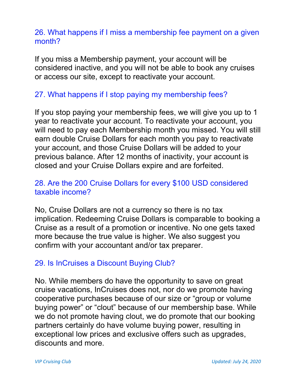#### 26. What happens if I miss a membership fee payment on a given month?

If you miss a Membership payment, your account will be considered inactive, and you will not be able to book any cruises or access our site, except to reactivate your account.

### 27. What happens if I stop paying my membership fees?

If you stop paying your membership fees, we will give you up to 1 year to reactivate your account. To reactivate your account, you will need to pay each Membership month you missed. You will still earn double Cruise Dollars for each month you pay to reactivate your account, and those Cruise Dollars will be added to your previous balance. After 12 months of inactivity, your account is closed and your Cruise Dollars expire and are forfeited.

#### 28. Are the 200 Cruise Dollars for every \$100 USD considered taxable income?

No, Cruise Dollars are not a currency so there is no tax implication. Redeeming Cruise Dollars is comparable to booking a Cruise as a result of a promotion or incentive. No one gets taxed more because the true value is higher. We also suggest you confirm with your accountant and/or tax preparer.

# 29. Is InCruises a Discount Buying Club?

No. While members do have the opportunity to save on great cruise vacations, InCruises does not, nor do we promote having cooperative purchases because of our size or "group or volume buying power" or "clout" because of our membership base. While we do not promote having clout, we do promote that our booking partners certainly do have volume buying power, resulting in exceptional low prices and exclusive offers such as upgrades, discounts and more.